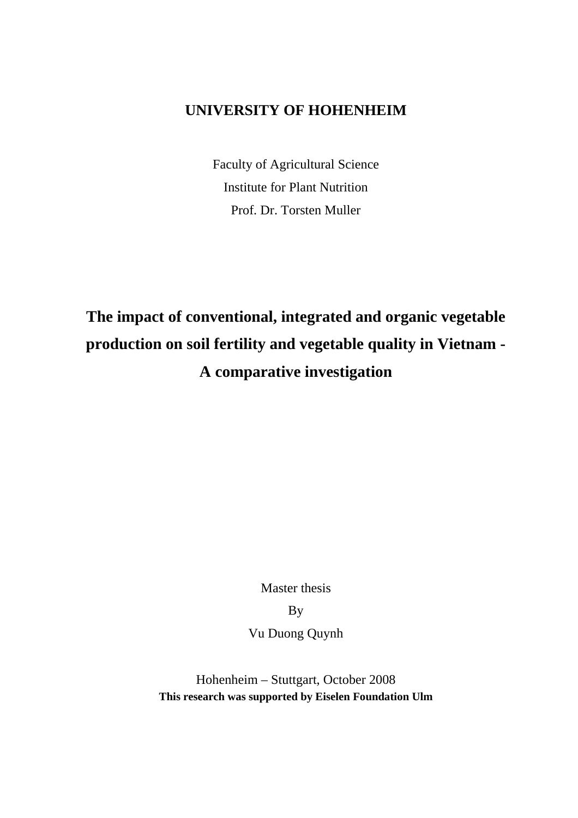## **UNIVERSITY OF HOHENHEIM**

Faculty of Agricultural Science Institute for Plant Nutrition Prof. Dr. Torsten Muller

## **The impact of conventional, integrated and organic vegetable production on soil fertility and vegetable quality in Vietnam - A comparative investigation**

Master thesis

By

Vu Duong Quynh

Hohenheim – Stuttgart, October 2008 **This research was supported by Eiselen Foundation Ulm**